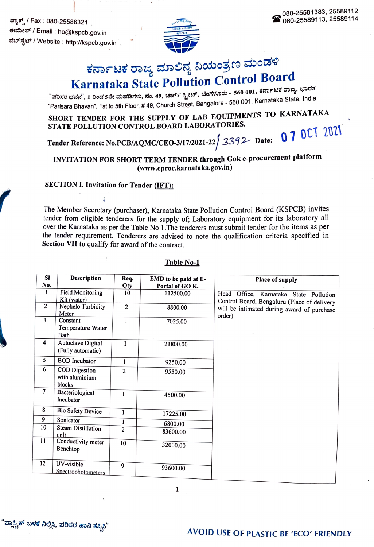ಫ್ಯಾಕ್ / Fax : 080-25586321 ರವರೆ ಕಾರ್ಯಕ್ರಮ ಕಾರ್ಯಕ್ರಮ ಕಾರ್ಯಕ್ರಮ ಕಾರ್ಯಕ್ರಮ ಕಾರ್ಯಕ್ರಮ ಕಾರ್ಯಕ್ರಮ ಕಾರ್ಯಕ್ರಮ ಕಾರ್ಯಕ್ರಮ ಕಾರ್ಯಕ್ರಮ ಕಾರ್ಯಕ್ರಮ ಕಾರ್ಯಕ್ರಮ ಕಾರ್ಯಕ್ರಮ ಕಾರ್ಯಕ್ರಮ ಕಾರ್ಯಕ್ರಮ ಕಾರ್ಯಕ್ರಮ ಕಾರ್ಯಕ್ರಮ ಕಾರ್ಯಕ್ರಮ ಕಾರ್ಯಕ್ರಮ ಕಾರ್ಯಕ್ರ ಕಃಮೇಲ್ / Email : ho@kspcb.gov.in ವೆಬ್ಸ್ಚೆಟ್ / Website : http://kspcb.gov.in



# ಕರ್ನಾಟಕ ರಾಜ್ಯ ಮಾಲಿನ್ಯ ನಿಯಂತ್ರಣ ಮಂಡಳಿ<br>Karnataka State Pollution Control Board

"ಪರಿಸರ ಭವನ", 1 ರಿಂದ 5ನೇ ಮಹಡಿಗಳು, ನಂ. 49, ಚರ್ಚ್ ಸ್ಟ್ರೀಟ್, ಬೆಂಗಳೂರು - 560 001, ಕರ್ನಾಟಕ ರಾಜ್ಯ, ಭಾರತ<br>--Parisara Bhavan", 1st to 5th Floor, # 49, Church Street, Bangalore 560 001, Karnataka State, India

SHORT TENDER FOR THE SUPPLY OF LAB EQUIPMENTS TO KARNATAKA STATE POLLUTION CONTROL BOARD LABORATORIES.

Tender Reference: No.PCB/AQMC/CEO-3/17/2021-22  $/$  3392 Date: 07 0CT 2021

## INVITATION FOR SHORT TERM TENDER through Gok e-procurement platform (www.eproc.karnataka.gov.in)

#### SECTION I. Invitation for Tender (IFT):

The Member Secretary (purchaser), Karnataka State Pollution Control Board (KSPCB) invites tender from eligible tenderers for the supply of; Laboratory equipment for its laboratory all Over the Karnataka as per the Table No 1.The tenderers must submit tender for the items as per the tender requirement. Tenderers are advised to note the qualification criteria specified in Section VII to qualify for award of the contract.

| <b>SI</b><br>No. | Description                                      | Req.<br>Qty    | EMD to be paid at E-<br>Portal of GOK. | Place of supply                                                                       |
|------------------|--------------------------------------------------|----------------|----------------------------------------|---------------------------------------------------------------------------------------|
| 1                | <b>Field Monitoring</b><br>Kit (water)           | 10             | 112500.00                              | Head Office, Karnataka State Pollution<br>Control Board, Bengaluru (Place of delivery |
| 2                | Nephelo Turbidity<br>Meter                       | 2              | 8800.00                                | will be intimated during award of purchase<br>order)                                  |
| 3                | Constant<br>Temperature Water<br>Bath            | $\mathbf{1}$   | 7025.00                                |                                                                                       |
| 4                | Autoclave Digital<br>(Fully automatic)           | $\mathbf{1}$   | 21800.00                               |                                                                                       |
| 5                | <b>BOD</b> Incubator                             | 1              | 9250.00                                |                                                                                       |
| 6                | <b>COD</b> Digestion<br>with aluminium<br>blocks | $\overline{2}$ | 9550.00                                |                                                                                       |
| 7                | Bacteriological<br>Incubator                     | 1              | 4500.00                                |                                                                                       |
| 8                | <b>Bio Safety Device</b>                         | $\mathbf{1}$   | 17225.00                               |                                                                                       |
| 9                | Sonicator                                        | 1              | 6800.00                                |                                                                                       |
| 10               | Steam Distillation<br>unit                       | $\overline{2}$ | 83600.00                               |                                                                                       |
| 11               | Conductivity meter<br>Benchtop                   | 10             | 32000.00                               |                                                                                       |
| 12               | UV-visible<br>Spectrophotometers                 | $\Omega$       | 93600.00                               |                                                                                       |

#### Table No-1

1

'ಪ್ಲಾಸ್ಟಿಕ್ ಬಳಕೆ ನಿಲ್ಲಿಸಿ, ಪರಿಸರ ಹಾನಿ ತಪ್ಪಿಸಿ"